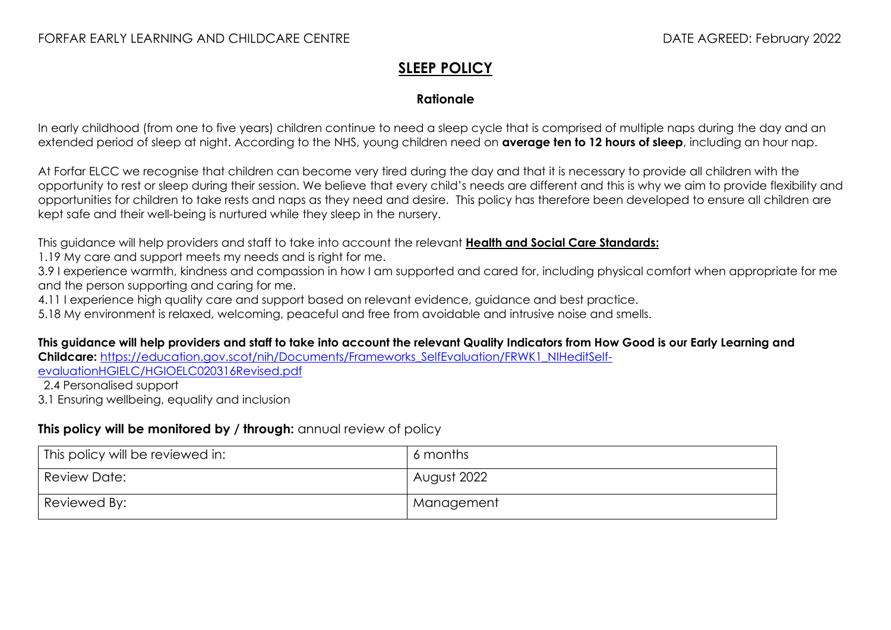## **SLEEP POLICY**

## **Rationale**

In early childhood (from one to five years) children continue to need a sleep cycle that is comprised of multiple naps during the day and an extended period of sleep at night. According to the NHS, young children need on **average ten to 12 hours of sleep**, including an hour nap.

At Forfar ELCC we recognise that children can become very tired during the day and that it is necessary to provide all children with the opportunity to rest or sleep during their session. We believe that every child's needs are different and this is why we aim to provide flexibility and opportunities for children to take rests and naps as they need and desire. This policy has therefore been developed to ensure all children are kept safe and their well-being is nurtured while they sleep in the nursery.

This guidance will help providers and staff to take into account the relevant **[Health and Social Care Standards:](https://www.gov.scot/binaries/content/documents/govscot/publications/advice-and-guidance/2017/06/health-social-care-standards-support-life/documents/00520693-pdf/00520693-pdf/govscot%3Adocument/00520693.pdf)**

1.19 My care and support meets my needs and is right for me.

3.9 I experience warmth, kindness and compassion in how I am supported and cared for, including physical comfort when appropriate for me and the person supporting and caring for me.

4.11 I experience high quality care and support based on relevant evidence, guidance and best practice.

5.18 My environment is relaxed, welcoming, peaceful and free from avoidable and intrusive noise and smells.

**This guidance will help providers and staff to take into account the relevant Quality Indicators from How Good is our Early Learning and Childcare:** [https://education.gov.scot/nih/Documents/Frameworks\\_SelfEvaluation/FRWK1\\_NIHeditSelf-](https://education.gov.scot/nih/Documents/Frameworks_SelfEvaluation/FRWK1_NIHeditSelf-evaluationHGIELC/HGIOELC020316Revised.pdf)

[evaluationHGIELC/HGIOELC020316Revised.pdf](https://education.gov.scot/nih/Documents/Frameworks_SelfEvaluation/FRWK1_NIHeditSelf-evaluationHGIELC/HGIOELC020316Revised.pdf)

2.4 Personalised support

3.1 Ensuring wellbeing, equality and inclusion

## **This policy will be monitored by / through:** annual review of policy

| <sup>I</sup> This policy will be reviewed in: | 6 months    |
|-----------------------------------------------|-------------|
| Review Date:                                  | August 2022 |
| Reviewed By:                                  | Management  |